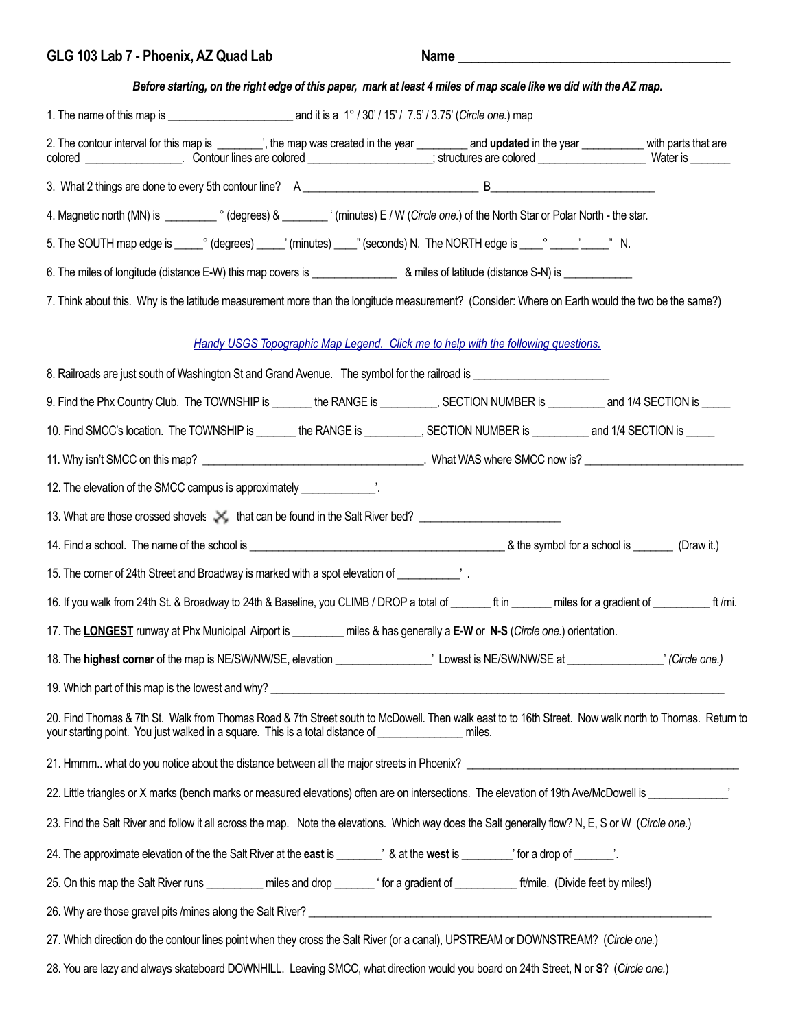| GLG 103 Lab 7 - Phoenix, AZ Quad Lab                                                                                                                                                                                                                           |                                                                                   | Name                                                                                                              |  |
|----------------------------------------------------------------------------------------------------------------------------------------------------------------------------------------------------------------------------------------------------------------|-----------------------------------------------------------------------------------|-------------------------------------------------------------------------------------------------------------------|--|
|                                                                                                                                                                                                                                                                |                                                                                   | Before starting, on the right edge of this paper, mark at least 4 miles of map scale like we did with the AZ map. |  |
|                                                                                                                                                                                                                                                                |                                                                                   |                                                                                                                   |  |
| 2. The contour interval for this map is ________', the map was created in the year ________ and updated in the year ___________ with parts that are                                                                                                            |                                                                                   |                                                                                                                   |  |
|                                                                                                                                                                                                                                                                |                                                                                   |                                                                                                                   |  |
|                                                                                                                                                                                                                                                                |                                                                                   |                                                                                                                   |  |
|                                                                                                                                                                                                                                                                |                                                                                   |                                                                                                                   |  |
| 6. The miles of longitude (distance E-W) this map covers is _____________________ & miles of latitude (distance S-N) is ______________                                                                                                                         |                                                                                   |                                                                                                                   |  |
| 7. Think about this. Why is the latitude measurement more than the longitude measurement? (Consider: Where on Earth would the two be the same?)                                                                                                                |                                                                                   |                                                                                                                   |  |
|                                                                                                                                                                                                                                                                | Handy USGS Topographic Map Legend. Click me to help with the following questions. |                                                                                                                   |  |
| 8. Railroads are just south of Washington St and Grand Avenue. The symbol for the railroad is __________________                                                                                                                                               |                                                                                   |                                                                                                                   |  |
| 9. Find the Phx Country Club. The TOWNSHIP is _______ the RANGE is _________, SECTION NUMBER is _________ and 1/4 SECTION is _____                                                                                                                             |                                                                                   |                                                                                                                   |  |
| 10. Find SMCC's location. The TOWNSHIP is _______ the RANGE is __________, SECTION NUMBER is _________ and 1/4 SECTION is _____                                                                                                                                |                                                                                   |                                                                                                                   |  |
|                                                                                                                                                                                                                                                                |                                                                                   |                                                                                                                   |  |
| 12. The elevation of the SMCC campus is approximately ______________.                                                                                                                                                                                          |                                                                                   |                                                                                                                   |  |
| 13. What are those crossed shovels X, that can be found in the Salt River bed?                                                                                                                                                                                 |                                                                                   |                                                                                                                   |  |
|                                                                                                                                                                                                                                                                |                                                                                   |                                                                                                                   |  |
| 15. The corner of 24th Street and Broadway is marked with a spot elevation of ____________'.                                                                                                                                                                   |                                                                                   |                                                                                                                   |  |
| 16. If you walk from 24th St. & Broadway to 24th & Baseline, you CLIMB / DROP a total of ________ ft in _______ miles for a gradient of ____________ ft /mi.                                                                                                   |                                                                                   |                                                                                                                   |  |
| 17. The LONGEST runway at Phx Municipal Airport is ________ miles & has generally a E-W or N-S (Circle one.) orientation.                                                                                                                                      |                                                                                   |                                                                                                                   |  |
|                                                                                                                                                                                                                                                                |                                                                                   |                                                                                                                   |  |
|                                                                                                                                                                                                                                                                |                                                                                   |                                                                                                                   |  |
| 20. Find Thomas & 7th St. Walk from Thomas Road & 7th Street south to McDowell. Then walk east to to 16th Street. Now walk north to Thomas. Return to<br>your starting point. You just walked in a square. This is a total distance of ________________ miles. |                                                                                   |                                                                                                                   |  |
|                                                                                                                                                                                                                                                                |                                                                                   |                                                                                                                   |  |
| 22. Little triangles or X marks (bench marks or measured elevations) often are on intersections. The elevation of 19th Ave/McDowell is _______________                                                                                                         |                                                                                   |                                                                                                                   |  |
| 23. Find the Salt River and follow it all across the map. Note the elevations. Which way does the Salt generally flow? N, E, S or W (Circle one.)                                                                                                              |                                                                                   |                                                                                                                   |  |
| 24. The approximate elevation of the the Salt River at the east is _______' & at the west is _______' for a drop of _____'.                                                                                                                                    |                                                                                   |                                                                                                                   |  |
| 25. On this map the Salt River runs __________ miles and drop _______ ' for a gradient of ___________ ft/mile. (Divide feet by miles!)                                                                                                                         |                                                                                   |                                                                                                                   |  |
|                                                                                                                                                                                                                                                                |                                                                                   |                                                                                                                   |  |
| 27. Which direction do the contour lines point when they cross the Salt River (or a canal), UPSTREAM or DOWNSTREAM? (Circle one.)                                                                                                                              |                                                                                   |                                                                                                                   |  |
| 28. You are lazy and always skateboard DOWNHILL. Leaving SMCC, what direction would you board on 24th Street, N or S? (Circle one.)                                                                                                                            |                                                                                   |                                                                                                                   |  |